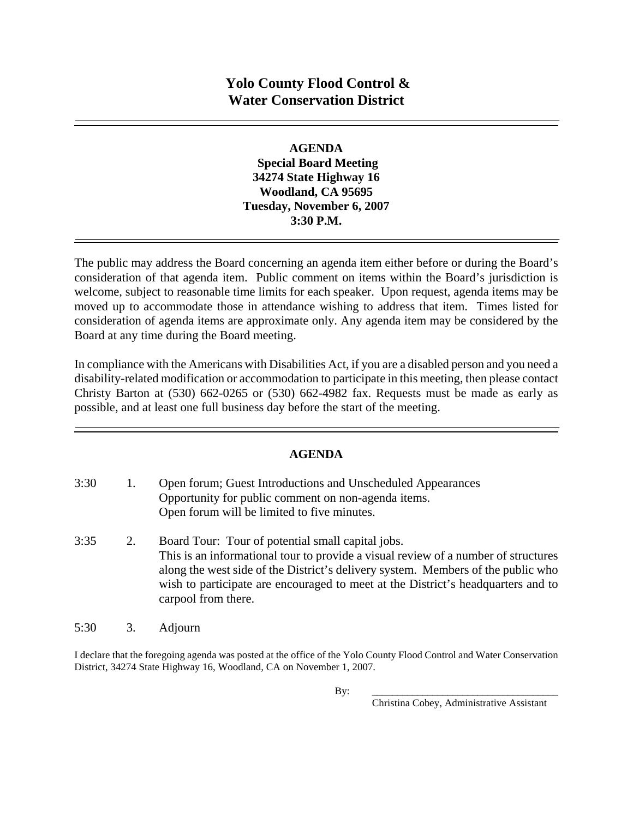#### **AGENDA**

 **Special Board Meeting 34274 State Highway 16 Woodland, CA 95695 Tuesday, November 6, 2007 3:30 P.M.** 

The public may address the Board concerning an agenda item either before or during the Board's consideration of that agenda item. Public comment on items within the Board's jurisdiction is welcome, subject to reasonable time limits for each speaker. Upon request, agenda items may be moved up to accommodate those in attendance wishing to address that item. Times listed for consideration of agenda items are approximate only. Any agenda item may be considered by the Board at any time during the Board meeting.

In compliance with the Americans with Disabilities Act, if you are a disabled person and you need a disability-related modification or accommodation to participate in this meeting, then please contact Christy Barton at (530) 662-0265 or (530) 662-4982 fax. Requests must be made as early as possible, and at least one full business day before the start of the meeting.

# **AGENDA**

| 3:30 | 1. | Open forum; Guest Introductions and Unscheduled Appearances<br>Opportunity for public comment on non-agenda items.<br>Open forum will be limited to five minutes.                                                                                                                                                                      |
|------|----|----------------------------------------------------------------------------------------------------------------------------------------------------------------------------------------------------------------------------------------------------------------------------------------------------------------------------------------|
| 3:35 | 2. | Board Tour: Tour of potential small capital jobs.<br>This is an informational tour to provide a visual review of a number of structures<br>along the west side of the District's delivery system. Members of the public who<br>wish to participate are encouraged to meet at the District's headquarters and to<br>carpool from there. |

5:30 3. Adjourn

I declare that the foregoing agenda was posted at the office of the Yolo County Flood Control and Water Conservation District, 34274 State Highway 16, Woodland, CA on November 1, 2007.

Christina Cobey, Administrative Assistant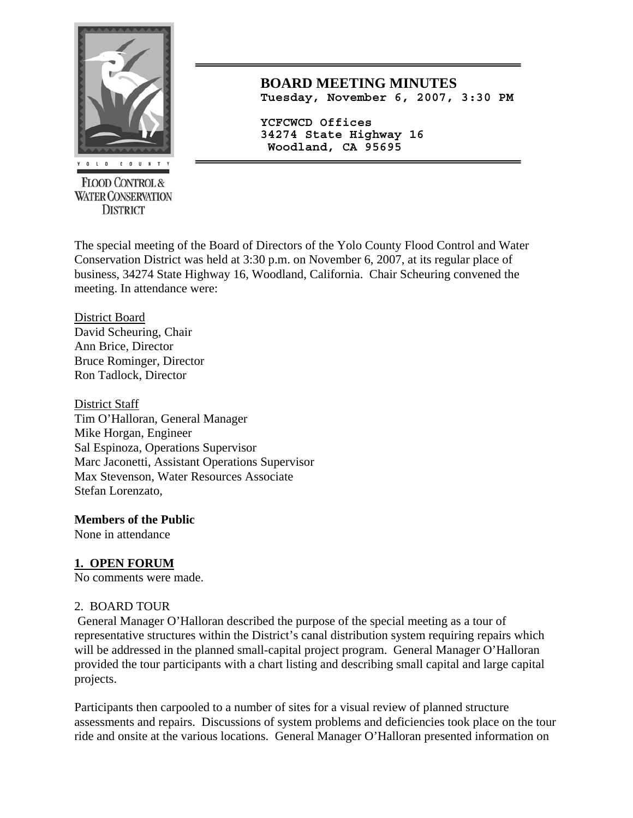

**FLOOD CONTROL & WATER CONSERVATION DISTRICT** 

**BOARD MEETING MINUTES Tuesday, November 6, 2007, 3:30 PM**

**YCFCWCD Offices 34274 State Highway 16 Woodland, CA 95695** 

The special meeting of the Board of Directors of the Yolo County Flood Control and Water Conservation District was held at 3:30 p.m. on November 6, 2007, at its regular place of business, 34274 State Highway 16, Woodland, California. Chair Scheuring convened the meeting. In attendance were:

#### District Board David Scheuring, Chair Ann Brice, Director Bruce Rominger, Director Ron Tadlock, Director

District Staff Tim O'Halloran, General Manager Mike Horgan, Engineer Sal Espinoza, Operations Supervisor Marc Jaconetti, Assistant Operations Supervisor Max Stevenson, Water Resources Associate Stefan Lorenzato,

# **Members of the Public**

None in attendance

# **1. OPEN FORUM**

No comments were made.

### 2. BOARD TOUR

 General Manager O'Halloran described the purpose of the special meeting as a tour of representative structures within the District's canal distribution system requiring repairs which will be addressed in the planned small-capital project program. General Manager O'Halloran provided the tour participants with a chart listing and describing small capital and large capital projects.

Participants then carpooled to a number of sites for a visual review of planned structure assessments and repairs. Discussions of system problems and deficiencies took place on the tour ride and onsite at the various locations. General Manager O'Halloran presented information on